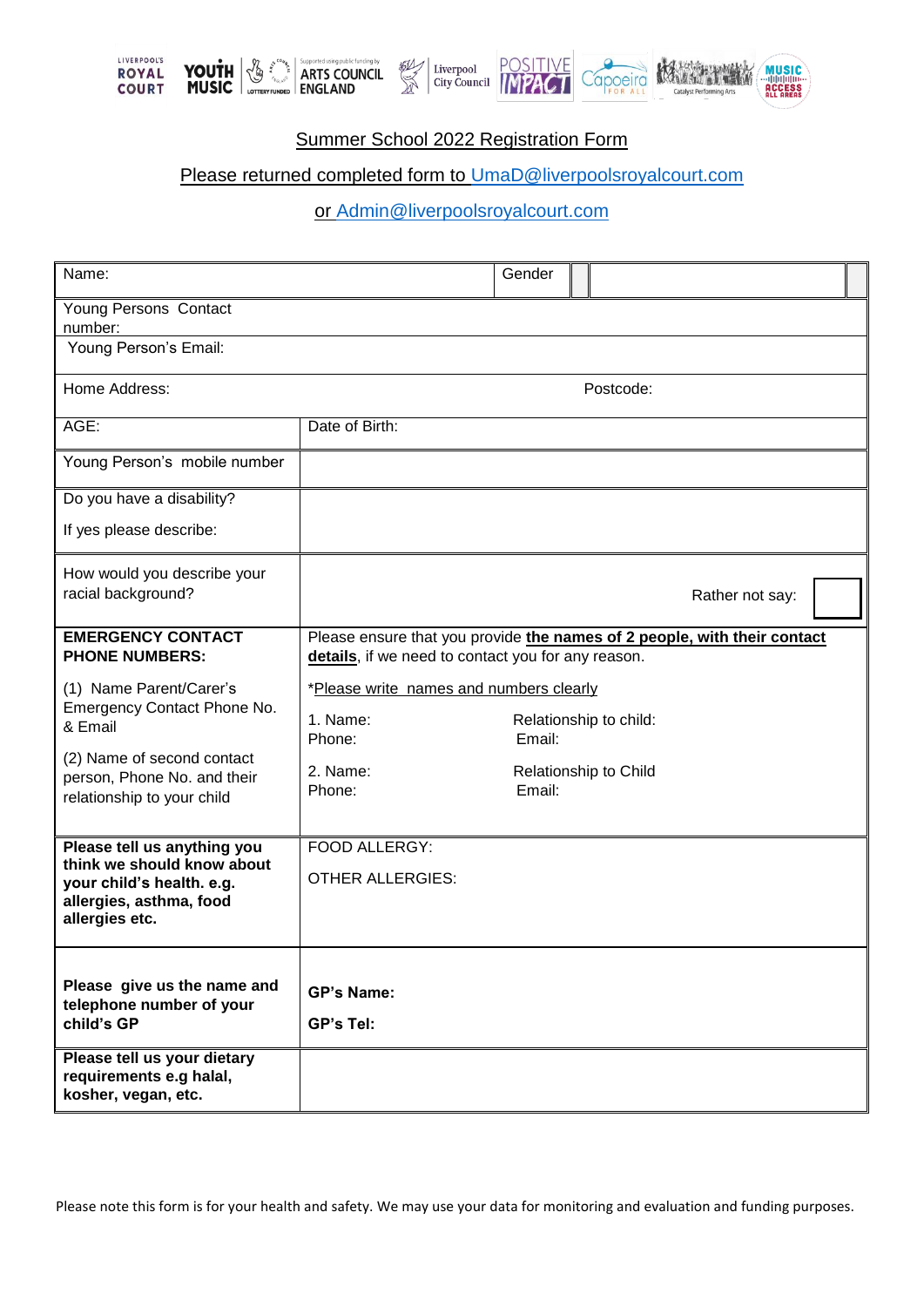





## Summer School 2022 Registration Form

受益

## Please returned completed form to [UmaD@liverpoolsroyalcourt.com](mailto:UmaD@liverpoolsroyalcourt.com)

or [Admin@liverpoolsroyalcourt.com](mailto:Admin@liverpoolsroyalcourt.com)

| Name:                                                                                                                               |                                                                                                                                | Gender                                    |           |                 |  |
|-------------------------------------------------------------------------------------------------------------------------------------|--------------------------------------------------------------------------------------------------------------------------------|-------------------------------------------|-----------|-----------------|--|
| Young Persons Contact<br>number:                                                                                                    |                                                                                                                                |                                           |           |                 |  |
| Young Person's Email:                                                                                                               |                                                                                                                                |                                           |           |                 |  |
| Home Address:                                                                                                                       |                                                                                                                                |                                           | Postcode: |                 |  |
| AGE:                                                                                                                                | Date of Birth:                                                                                                                 |                                           |           |                 |  |
| Young Person's mobile number                                                                                                        |                                                                                                                                |                                           |           |                 |  |
| Do you have a disability?                                                                                                           |                                                                                                                                |                                           |           |                 |  |
| If yes please describe:                                                                                                             |                                                                                                                                |                                           |           |                 |  |
| How would you describe your<br>racial background?                                                                                   |                                                                                                                                |                                           |           | Rather not say: |  |
| <b>EMERGENCY CONTACT</b><br><b>PHONE NUMBERS:</b>                                                                                   | Please ensure that you provide the names of 2 people, with their contact<br>details, if we need to contact you for any reason. |                                           |           |                 |  |
| (1) Name Parent/Carer's<br>Emergency Contact Phone No.<br>& Email                                                                   | *Please write names and numbers clearly<br>1. Name:<br>Relationship to child:                                                  |                                           |           |                 |  |
| (2) Name of second contact<br>person, Phone No. and their<br>relationship to your child                                             | Phone:<br>2. Name:<br>Phone:                                                                                                   | Email:<br>Relationship to Child<br>Email: |           |                 |  |
| Please tell us anything you<br>think we should know about<br>your child's health. e.g.<br>allergies, asthma, food<br>allergies etc. | FOOD ALLERGY:<br><b>OTHER ALLERGIES:</b>                                                                                       |                                           |           |                 |  |
| Please give us the name and<br>telephone number of your<br>child's GP<br>Please tell us your dietary                                | <b>GP's Name:</b><br>GP's Tel:                                                                                                 |                                           |           |                 |  |
| requirements e.g halal,<br>kosher, vegan, etc.                                                                                      |                                                                                                                                |                                           |           |                 |  |

Please note this form is for your health and safety. We may use your data for monitoring and evaluation and funding purposes.